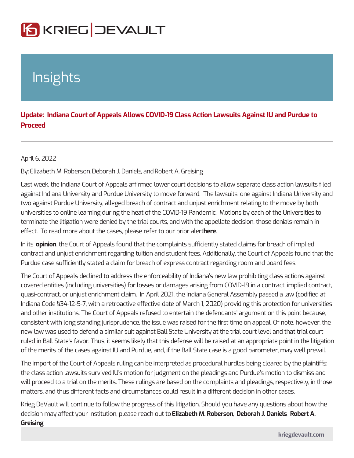## Insights

Update: Indiana Court of Appeals Allows COVID-19 Class Action Lawsuits Proceed

April 6, 2022

By Elizabeth M. Ro Doebroto anh J. Dann Rebolbert A. Greising

Last week, the Indiana Court of Appeals affirmed lower court decisions to allow s against Indiana University and Purdue University to move forward. The lawsuits, two against Purdue University, alleged breach of contract and unjust enrichment universities to online learning during the heat of the COVID-19 Pandemic. Motio terminate the litigation were denied by the trial courts, and with the appellate de effect. To read more about the cases, pleas the refer to our prior alert

In itepinion he Court of Appeals found that the complaints sufficiently stated clain contract and unjust enrichment regarding tuition and student fees. Additionally, t Purdue case sufficiently stated a claim for breach of express contract regarding

The Court of Appeals declined to address the enforceability of Indiana s new law covered entities (including universities) for losses or damages arising from COVI quasi-contract, or unjust enrichment claim. In April 2021, the Indiana General A Indiana Code §34-12-5-7, with a retroactive effective date of March 1, 2020) prov and other institutions. The Court of Appeals refused to entertain the defendants consistent with long standing jurisprudence, the issue was raised for the first tim new law was used to defend a similar suit against Ball State University at the tri ruled in Ball State s favor. Thus, it seems likely that this defense will be raised of the merits of the cases against IU and Purdue, and, if the Ball State case is a

The import of the Court of Appeals ruling can be interpreted as procedural hurdle the class action lawsuits survived IU s motion for judgment on the pleadings and will proceed to a trial on the merits. These rulings are based on the complaints and pleading the pleading of  $n = 1$ matters, and thus different facts and circumstances could result in a different de

Krieg DeVault will continue to follow the progress of this litigation. Should you h decision may affect your institution, pEl**eiaae e**rtehaMh &Ropt**Dteodscomah J. D&**Ronibeelst A. Greising